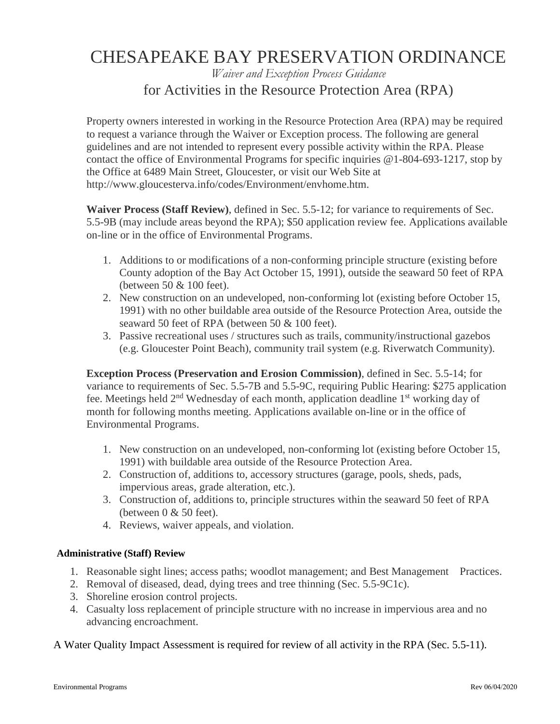# CHESAPEAKE BAY PRESERVATION ORDINANCE

### *Waiver and Exception Process Guidance* for Activities in the Resource Protection Area (RPA)

Property owners interested in working in the Resource Protection Area (RPA) may be required to request a variance through the Waiver or Exception process. The following are general guidelines and are not intended to represent every possible activity within the RPA. Please contact the office of Environmental Programs for specific inquiries @1-804-693-1217, stop by the Office at 6489 Main Street, Gloucester, or visit our Web Site at http://www.gloucesterva.info/codes/Environment/envhome.htm.

**Waiver Process (Staff Review)**, defined in Sec. 5.5-12; for variance to requirements of Sec. 5.5-9B (may include areas beyond the RPA); \$50 application review fee. Applications available on-line or in the office of Environmental Programs.

- 1. Additions to or modifications of a non-conforming principle structure (existing before County adoption of the Bay Act October 15, 1991), outside the seaward 50 feet of RPA (between 50 & 100 feet).
- 2. New construction on an undeveloped, non-conforming lot (existing before October 15, 1991) with no other buildable area outside of the Resource Protection Area, outside the seaward 50 feet of RPA (between 50 & 100 feet).
- 3. Passive recreational uses / structures such as trails, community/instructional gazebos (e.g. Gloucester Point Beach), community trail system (e.g. Riverwatch Community).

**Exception Process (Preservation and Erosion Commission)**, defined in Sec. 5.5-14; for variance to requirements of Sec. 5.5-7B and 5.5-9C, requiring Public Hearing: \$275 application fee. Meetings held  $2<sup>nd</sup>$  Wednesday of each month, application deadline  $1<sup>st</sup>$  working day of month for following months meeting. Applications available on-line or in the office of Environmental Programs.

- 1. New construction on an undeveloped, non-conforming lot (existing before October 15, 1991) with buildable area outside of the Resource Protection Area.
- 2. Construction of, additions to, accessory structures (garage, pools, sheds, pads, impervious areas, grade alteration, etc.).
- 3. Construction of, additions to, principle structures within the seaward 50 feet of RPA (between  $0 \& 50$  feet).
- 4. Reviews, waiver appeals, and violation.

#### **Administrative (Staff) Review**

- 1. Reasonable sight lines; access paths; woodlot management; and Best Management Practices.
- 2. Removal of diseased, dead, dying trees and tree thinning (Sec. 5.5-9C1c).
- 3. Shoreline erosion control projects.
- 4. Casualty loss replacement of principle structure with no increase in impervious area and no advancing encroachment.

A Water Quality Impact Assessment is required for review of all activity in the RPA (Sec. 5.5-11).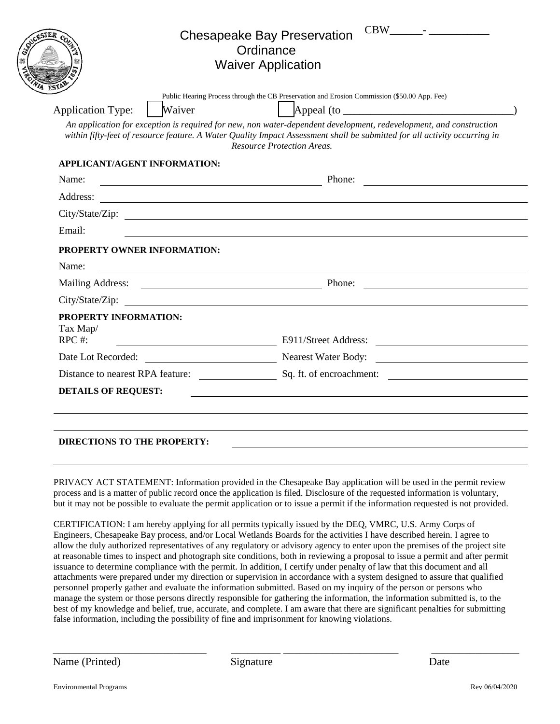|                                                                         | <b>Chesapeake Bay Preservation</b><br>Ordinance<br><b>Waiver Application</b>                                                                                                                                                                                                                                                                                                                       |
|-------------------------------------------------------------------------|----------------------------------------------------------------------------------------------------------------------------------------------------------------------------------------------------------------------------------------------------------------------------------------------------------------------------------------------------------------------------------------------------|
| Waiver<br><b>Application Type:</b>                                      | Public Hearing Process through the CB Preservation and Erosion Commission (\$50.00 App. Fee)<br>Appeal (to<br>An application for exception is required for new, non water-dependent development, redevelopment, and construction<br>within fifty-feet of resource feature. A Water Quality Impact Assessment shall be submitted for all activity occurring in<br><b>Resource Protection Areas.</b> |
| <b>APPLICANT/AGENT INFORMATION:</b>                                     |                                                                                                                                                                                                                                                                                                                                                                                                    |
| Name:                                                                   | Phone:                                                                                                                                                                                                                                                                                                                                                                                             |
| Address:                                                                |                                                                                                                                                                                                                                                                                                                                                                                                    |
|                                                                         |                                                                                                                                                                                                                                                                                                                                                                                                    |
| Email:                                                                  |                                                                                                                                                                                                                                                                                                                                                                                                    |
| PROPERTY OWNER INFORMATION:<br>Name:                                    |                                                                                                                                                                                                                                                                                                                                                                                                    |
| Mailing Address: <u>National Phone:</u> Phone:                          |                                                                                                                                                                                                                                                                                                                                                                                                    |
| City/State/Zip:<br><b>PROPERTY INFORMATION:</b><br>Tax Map/<br>$RPC$ #: | E911/Street Address:                                                                                                                                                                                                                                                                                                                                                                               |
| Date Lot Recorded:                                                      | Nearest Water Body:                                                                                                                                                                                                                                                                                                                                                                                |
|                                                                         | Distance to nearest RPA feature: Sq. ft. of encroachment:                                                                                                                                                                                                                                                                                                                                          |
| <b>DETAILS OF REQUEST:</b>                                              |                                                                                                                                                                                                                                                                                                                                                                                                    |
|                                                                         |                                                                                                                                                                                                                                                                                                                                                                                                    |
|                                                                         |                                                                                                                                                                                                                                                                                                                                                                                                    |
| <b>DIRECTIONS TO THE PROPERTY:</b>                                      |                                                                                                                                                                                                                                                                                                                                                                                                    |

PRIVACY ACT STATEMENT: Information provided in the Chesapeake Bay application will be used in the permit review process and is a matter of public record once the application is filed. Disclosure of the requested information is voluntary, but it may not be possible to evaluate the permit application or to issue a permit if the information requested is not provided.

CERTIFICATION: I am hereby applying for all permits typically issued by the DEQ, VMRC, U.S. Army Corps of Engineers, Chesapeake Bay process, and/or Local Wetlands Boards for the activities I have described herein. I agree to allow the duly authorized representatives of any regulatory or advisory agency to enter upon the premises of the project site at reasonable times to inspect and photograph site conditions, both in reviewing a proposal to issue a permit and after permit issuance to determine compliance with the permit. In addition, I certify under penalty of law that this document and all attachments were prepared under my direction or supervision in accordance with a system designed to assure that qualified personnel properly gather and evaluate the information submitted. Based on my inquiry of the person or persons who manage the system or those persons directly responsible for gathering the information, the information submitted is, to the best of my knowledge and belief, true, accurate, and complete. I am aware that there are significant penalties for submitting false information, including the possibility of fine and imprisonment for knowing violations.

 $\frac{1}{2}$  ,  $\frac{1}{2}$  ,  $\frac{1}{2}$  ,  $\frac{1}{2}$  ,  $\frac{1}{2}$  ,  $\frac{1}{2}$  ,  $\frac{1}{2}$  ,  $\frac{1}{2}$  ,  $\frac{1}{2}$  ,  $\frac{1}{2}$  ,  $\frac{1}{2}$  ,  $\frac{1}{2}$  ,  $\frac{1}{2}$  ,  $\frac{1}{2}$  ,  $\frac{1}{2}$  ,  $\frac{1}{2}$  ,  $\frac{1}{2}$  ,  $\frac{1}{2}$  ,  $\frac{1$ 

Name (Printed) Signature Date

Signature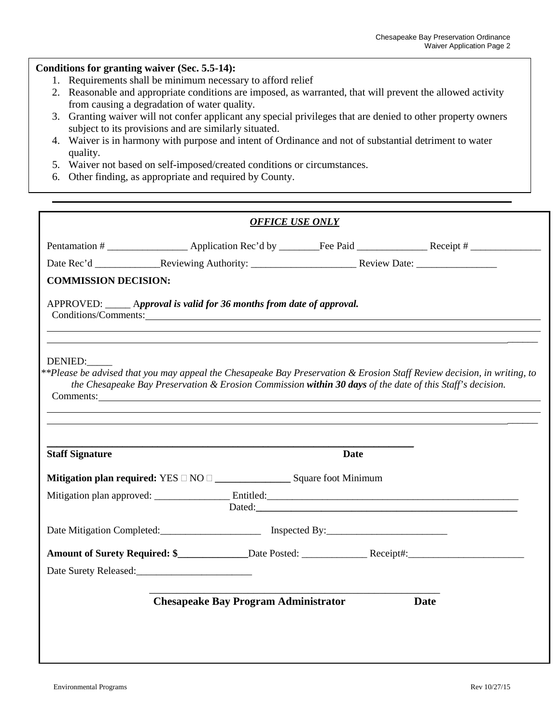#### **Conditions for granting waiver (Sec. 5.5-14):**

- 1. Requirements shall be minimum necessary to afford relief
- 2. Reasonable and appropriate conditions are imposed, as warranted, that will prevent the allowed activity from causing a degradation of water quality.
- 3. Granting waiver will not confer applicant any special privileges that are denied to other property owners subject to its provisions and are similarly situated.
- 4. Waiver is in harmony with purpose and intent of Ordinance and not of substantial detriment to water quality.
- 5. Waiver not based on self-imposed/created conditions or circumstances.
- 6. Other finding, as appropriate and required by County.

|                                                                                                                                                                                                                                                 |                                             | <b>OFFICE USE ONLY</b> |             |
|-------------------------------------------------------------------------------------------------------------------------------------------------------------------------------------------------------------------------------------------------|---------------------------------------------|------------------------|-------------|
|                                                                                                                                                                                                                                                 |                                             |                        |             |
|                                                                                                                                                                                                                                                 |                                             |                        |             |
| <b>COMMISSION DECISION:</b>                                                                                                                                                                                                                     |                                             |                        |             |
| APPROVED: <i>_____ Approval is valid for 36 months from date of approval.</i><br>Conditions/Comments: Conditions/Comments:                                                                                                                      |                                             |                        |             |
| DENIED:<br>**Please be advised that you may appeal the Chesapeake Bay Preservation & Erosion Staff Review decision, in writing, to<br>the Chesapeake Bay Preservation & Erosion Commission within 30 days of the date of this Staff's decision. |                                             |                        |             |
| <b>Staff Signature</b>                                                                                                                                                                                                                          |                                             | <b>Date</b>            |             |
|                                                                                                                                                                                                                                                 |                                             |                        |             |
|                                                                                                                                                                                                                                                 |                                             |                        |             |
|                                                                                                                                                                                                                                                 |                                             |                        |             |
|                                                                                                                                                                                                                                                 |                                             |                        |             |
| Date Surety Released:                                                                                                                                                                                                                           |                                             |                        |             |
|                                                                                                                                                                                                                                                 | <b>Chesapeake Bay Program Administrator</b> |                        | <b>Date</b> |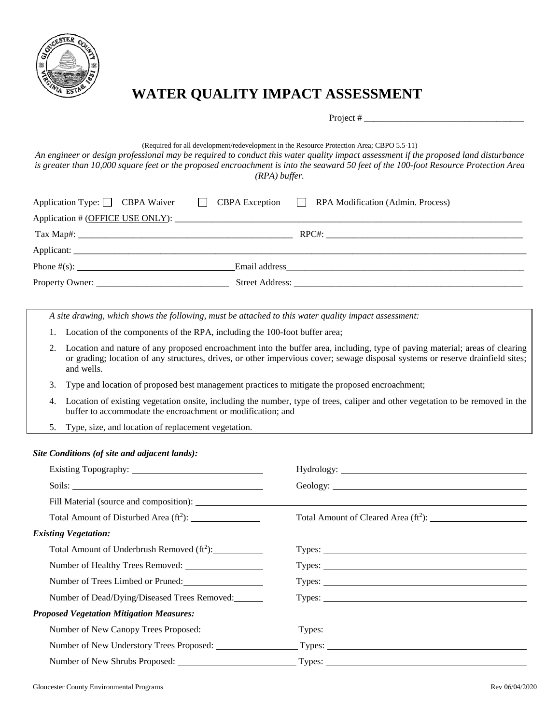

## **WATER QUALITY IMPACT ASSESSMENT**

Project #

#### (Required for all development/redevelopment in the Resource Protection Area; CBPO 5.5-11)

*An engineer or design professional may be required to conduct this water quality impact assessment if the proposed land disturbance is greater than 10,000 square feet or the proposed encroachment is into the seaward 50 feet of the 100-foot Resource Protection Area (RPA) buffer.*

|  | Application Type: CBPA Waiver CBPA Exception RPA Modification (Admin. Process) |
|--|--------------------------------------------------------------------------------|
|  |                                                                                |
|  |                                                                                |
|  |                                                                                |
|  |                                                                                |
|  |                                                                                |

*A site drawing, which shows the following, must be attached to this water quality impact assessment:*

- 1. Location of the components of the RPA, including the 100-foot buffer area;
- 2. Location and nature of any proposed encroachment into the buffer area, including, type of paving material; areas of clearing or grading; location of any structures, drives, or other impervious cover; sewage disposal systems or reserve drainfield sites; and wells.
- 3. Type and location of proposed best management practices to mitigate the proposed encroachment;
- 4. Location of existing vegetation onsite, including the number, type of trees, caliper and other vegetation to be removed in the buffer to accommodate the encroachment or modification; and
- 5. Type, size, and location of replacement vegetation.

#### *Site Conditions (of site and adjacent lands):*

| Total Amount of Disturbed Area $(ft^2)$ :              |                                                                                                        |  |
|--------------------------------------------------------|--------------------------------------------------------------------------------------------------------|--|
| <b>Existing Vegetation:</b>                            |                                                                                                        |  |
| Total Amount of Underbrush Removed (ft <sup>2</sup> ): |                                                                                                        |  |
|                                                        | Types:                                                                                                 |  |
| Number of Trees Limbed or Pruned:                      |                                                                                                        |  |
| Number of Dead/Dying/Diseased Trees Removed:           | Types:                                                                                                 |  |
| <b>Proposed Vegetation Mitigation Measures:</b>        |                                                                                                        |  |
| Number of New Canopy Trees Proposed:                   | $\frac{1}{2}$ Types:                                                                                   |  |
|                                                        | Number of New Understory Trees Proposed: Types: Types: Number of New Understory Trees Proposed: Types: |  |
|                                                        |                                                                                                        |  |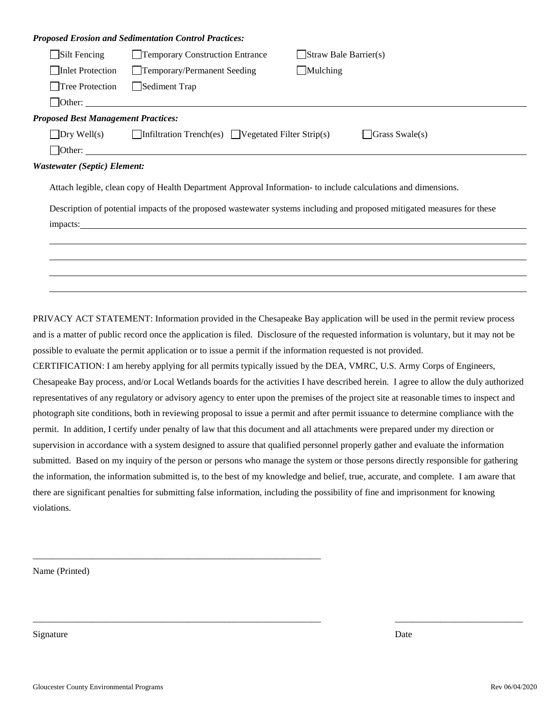|                                            | <b>Proposed Erosion and Sedimentation Control Practices:</b>                                                                                                                                                                   |                                                                                                                         |
|--------------------------------------------|--------------------------------------------------------------------------------------------------------------------------------------------------------------------------------------------------------------------------------|-------------------------------------------------------------------------------------------------------------------------|
| $\Box$ Silt Fencing                        | Temporary Construction Entrance                                                                                                                                                                                                | $\Box$ Straw Bale Barrier(s)                                                                                            |
| Inlet Protection                           | Temporary/Permanent Seeding                                                                                                                                                                                                    | $\Box$ Mulching                                                                                                         |
| Tree Protection                            | Sediment Trap                                                                                                                                                                                                                  |                                                                                                                         |
|                                            |                                                                                                                                                                                                                                |                                                                                                                         |
| <b>Proposed Best Management Practices:</b> |                                                                                                                                                                                                                                |                                                                                                                         |
|                                            | $\Box$ Dry Well(s) $\Box$ Infiltration Trench(es) $\Box$ Vegetated Filter Strip(s)                                                                                                                                             | Grass Swale(s)                                                                                                          |
|                                            | $\Box$ Other:                                                                                                                                                                                                                  |                                                                                                                         |
| <b>Wastewater (Septic) Element:</b>        |                                                                                                                                                                                                                                |                                                                                                                         |
|                                            |                                                                                                                                                                                                                                | Attach legible, clean copy of Health Department Approval Information- to include calculations and dimensions.           |
|                                            |                                                                                                                                                                                                                                | Description of potential impacts of the proposed wastewater systems including and proposed mitigated measures for these |
|                                            | impacts: and the contract of the contract of the contract of the contract of the contract of the contract of the contract of the contract of the contract of the contract of the contract of the contract of the contract of t |                                                                                                                         |
|                                            |                                                                                                                                                                                                                                |                                                                                                                         |
|                                            |                                                                                                                                                                                                                                |                                                                                                                         |
|                                            |                                                                                                                                                                                                                                |                                                                                                                         |
|                                            |                                                                                                                                                                                                                                |                                                                                                                         |

PRIVACY ACT STATEMENT: Information provided in the Chesapeake Bay application will be used in the permit review process and is a matter of public record once the application is filed. Disclosure of the requested information is voluntary, but it may not be possible to evaluate the permit application or to issue a permit if the information requested is not provided.

CERTIFICATION: I am hereby applying for all permits typically issued by the DEA, VMRC, U.S. Army Corps of Engineers, Chesapeake Bay process, and/or Local Wetlands boards for the activities I have described herein. I agree to allow the duly authorized representatives of any regulatory or advisory agency to enter upon the premises of the project site at reasonable times to inspect and photograph site conditions, both in reviewing proposal to issue a permit and after permit issuance to determine compliance with the permit. In addition, I certify under penalty of law that this document and all attachments were prepared under my direction or supervision in accordance with a system designed to assure that qualified personnel properly gather and evaluate the information submitted. Based on my inquiry of the person or persons who manage the system or those persons directly responsible for gathering the information, the information submitted is, to the best of my knowledge and belief, true, accurate, and complete. I am aware that there are significant penalties for submitting false information, including the possibility of fine and imprisonment for knowing violations.

\_\_\_\_\_\_\_\_\_\_\_\_\_\_\_\_\_\_\_\_\_\_\_\_\_\_\_\_\_\_\_\_\_\_\_\_\_\_\_\_\_\_\_\_\_\_\_\_\_\_\_\_\_\_\_\_\_\_\_\_\_\_\_ \_\_\_\_\_\_\_\_\_\_\_\_\_\_\_\_\_\_\_\_\_\_\_\_\_\_\_\_

Name (Printed)

Signature Date Date of the Date of the United States of the Date of the Date of the Date of the Date of the Date of the Date of the Date of the Date of the Date of the Date of the Date of the Date of the Date of the United

\_\_\_\_\_\_\_\_\_\_\_\_\_\_\_\_\_\_\_\_\_\_\_\_\_\_\_\_\_\_\_\_\_\_\_\_\_\_\_\_\_\_\_\_\_\_\_\_\_\_\_\_\_\_\_\_\_\_\_\_\_\_\_